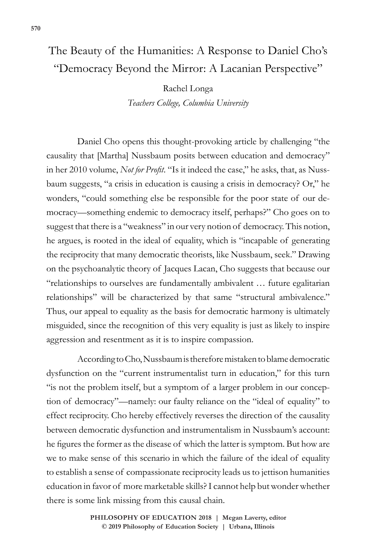## The Beauty of the Humanities: A Response to Daniel Cho's "Democracy Beyond the Mirror: A Lacanian Perspective"

Rachel Longa *Teachers College, Columbia University*

Daniel Cho opens this thought-provoking article by challenging "the causality that [Martha] Nussbaum posits between education and democracy" in her 2010 volume, *Not for Profit*. "Is it indeed the case," he asks, that, as Nussbaum suggests, "a crisis in education is causing a crisis in democracy? Or," he wonders, "could something else be responsible for the poor state of our democracy—something endemic to democracy itself, perhaps?" Cho goes on to suggest that there is a "weakness" in our very notion of democracy. This notion, he argues, is rooted in the ideal of equality, which is "incapable of generating the reciprocity that many democratic theorists, like Nussbaum, seek." Drawing on the psychoanalytic theory of Jacques Lacan, Cho suggests that because our "relationships to ourselves are fundamentally ambivalent … future egalitarian relationships" will be characterized by that same "structural ambivalence." Thus, our appeal to equality as the basis for democratic harmony is ultimately misguided, since the recognition of this very equality is just as likely to inspire aggression and resentment as it is to inspire compassion.

According to Cho, Nussbaum is therefore mistaken to blame democratic dysfunction on the "current instrumentalist turn in education," for this turn "is not the problem itself, but a symptom of a larger problem in our conception of democracy"—namely: our faulty reliance on the "ideal of equality" to effect reciprocity. Cho hereby effectively reverses the direction of the causality between democratic dysfunction and instrumentalism in Nussbaum's account: he figures the former as the disease of which the latter is symptom. But how are we to make sense of this scenario in which the failure of the ideal of equality to establish a sense of compassionate reciprocity leads us to jettison humanities education in favor of more marketable skills? I cannot help but wonder whether there is some link missing from this causal chain.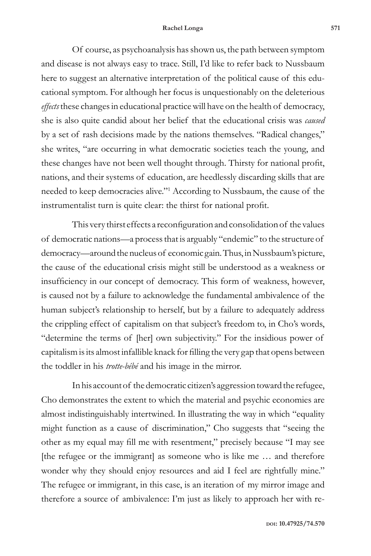## **Rachel Longa 571**

Of course, as psychoanalysis has shown us, the path between symptom and disease is not always easy to trace. Still, I'd like to refer back to Nussbaum here to suggest an alternative interpretation of the political cause of this educational symptom. For although her focus is unquestionably on the deleterious *effects* these changes in educational practice will have on the health of democracy, she is also quite candid about her belief that the educational crisis was *caused* by a set of rash decisions made by the nations themselves. "Radical changes," she writes, "are occurring in what democratic societies teach the young, and these changes have not been well thought through. Thirsty for national profit, nations, and their systems of education, are heedlessly discarding skills that are needed to keep democracies alive."1 According to Nussbaum, the cause of the instrumentalist turn is quite clear: the thirst for national profit.

This very thirst effects a reconfiguration and consolidation of the values of democratic nations—a process that is arguably "endemic" to the structure of democracy—around the nucleus of economic gain. Thus, in Nussbaum's picture, the cause of the educational crisis might still be understood as a weakness or insufficiency in our concept of democracy. This form of weakness, however, is caused not by a failure to acknowledge the fundamental ambivalence of the human subject's relationship to herself, but by a failure to adequately address the crippling effect of capitalism on that subject's freedom to, in Cho's words, "determine the terms of [her] own subjectivity." For the insidious power of capitalism is its almost infallible knack for filling the very gap that opens between the toddler in his *trotte-bébé* and his image in the mirror.

In his account of the democratic citizen's aggression toward the refugee, Cho demonstrates the extent to which the material and psychic economies are almost indistinguishably intertwined. In illustrating the way in which "equality might function as a cause of discrimination," Cho suggests that "seeing the other as my equal may fill me with resentment," precisely because "I may see [the refugee or the immigrant] as someone who is like me … and therefore wonder why they should enjoy resources and aid I feel are rightfully mine." The refugee or immigrant, in this case, is an iteration of my mirror image and therefore a source of ambivalence: I'm just as likely to approach her with re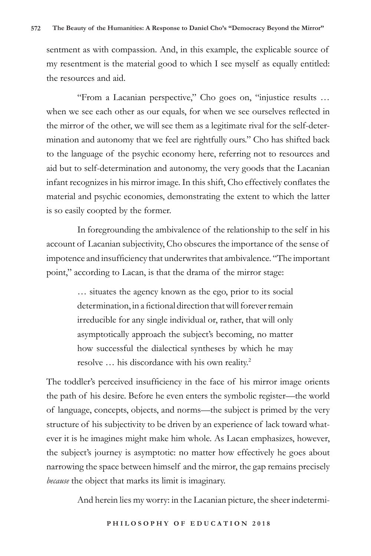sentment as with compassion. And, in this example, the explicable source of my resentment is the material good to which I see myself as equally entitled: the resources and aid.

"From a Lacanian perspective," Cho goes on, "injustice results … when we see each other as our equals, for when we see ourselves reflected in the mirror of the other, we will see them as a legitimate rival for the self-determination and autonomy that we feel are rightfully ours." Cho has shifted back to the language of the psychic economy here, referring not to resources and aid but to self-determination and autonomy, the very goods that the Lacanian infant recognizes in his mirror image. In this shift, Cho effectively conflates the material and psychic economies, demonstrating the extent to which the latter is so easily coopted by the former.

In foregrounding the ambivalence of the relationship to the self in his account of Lacanian subjectivity, Cho obscures the importance of the sense of impotence and insufficiency that underwrites that ambivalence. "The important point," according to Lacan, is that the drama of the mirror stage:

> … situates the agency known as the ego, prior to its social determination, in a fictional direction that will forever remain irreducible for any single individual or, rather, that will only asymptotically approach the subject's becoming, no matter how successful the dialectical syntheses by which he may resolve … his discordance with his own reality.2

The toddler's perceived insufficiency in the face of his mirror image orients the path of his desire. Before he even enters the symbolic register—the world of language, concepts, objects, and norms—the subject is primed by the very structure of his subjectivity to be driven by an experience of lack toward whatever it is he imagines might make him whole. As Lacan emphasizes, however, the subject's journey is asymptotic: no matter how effectively he goes about narrowing the space between himself and the mirror, the gap remains precisely *because* the object that marks its limit is imaginary.

And herein lies my worry: in the Lacanian picture, the sheer indetermi-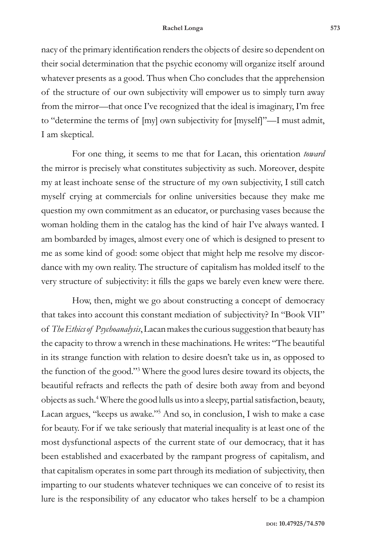nacy of the primary identification renders the objects of desire so dependent on their social determination that the psychic economy will organize itself around whatever presents as a good. Thus when Cho concludes that the apprehension of the structure of our own subjectivity will empower us to simply turn away from the mirror—that once I've recognized that the ideal is imaginary, I'm free to "determine the terms of [my] own subjectivity for [myself]"—I must admit, I am skeptical.

For one thing, it seems to me that for Lacan, this orientation *toward* the mirror is precisely what constitutes subjectivity as such. Moreover, despite my at least inchoate sense of the structure of my own subjectivity, I still catch myself crying at commercials for online universities because they make me question my own commitment as an educator, or purchasing vases because the woman holding them in the catalog has the kind of hair I've always wanted. I am bombarded by images, almost every one of which is designed to present to me as some kind of good: some object that might help me resolve my discordance with my own reality. The structure of capitalism has molded itself to the very structure of subjectivity: it fills the gaps we barely even knew were there.

How, then, might we go about constructing a concept of democracy that takes into account this constant mediation of subjectivity? In "Book VII" of *The Ethics of Psychoanalysis*, Lacan makes the curious suggestion that beauty has the capacity to throw a wrench in these machinations. He writes: "The beautiful in its strange function with relation to desire doesn't take us in, as opposed to the function of the good."3 Where the good lures desire toward its objects, the beautiful refracts and reflects the path of desire both away from and beyond objects as such.4 Where the good lulls us into a sleepy, partial satisfaction, beauty, Lacan argues, "keeps us awake."5 And so, in conclusion, I wish to make a case for beauty. For if we take seriously that material inequality is at least one of the most dysfunctional aspects of the current state of our democracy, that it has been established and exacerbated by the rampant progress of capitalism, and that capitalism operates in some part through its mediation of subjectivity, then imparting to our students whatever techniques we can conceive of to resist its lure is the responsibility of any educator who takes herself to be a champion